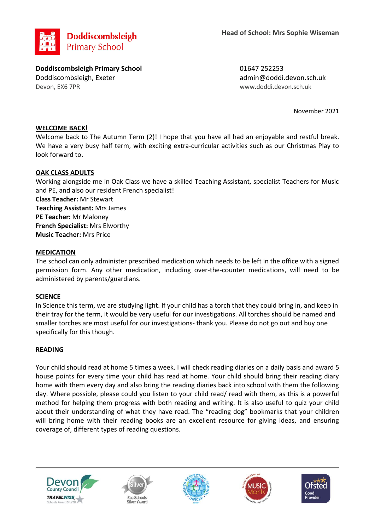

**Doddiscombsleigh Primary School** 01647 252253 Doddiscombsleigh, Exeter admin@doddi.devon.sch.uk Devon, EX6 7PR www.doddi.devon.sch.uk

November 2021

# **WELCOME BACK!**

Welcome back to The Autumn Term (2)! I hope that you have all had an enjoyable and restful break. We have a very busy half term, with exciting extra-curricular activities such as our Christmas Play to look forward to.

## **OAK CLASS ADULTS**

Working alongside me in Oak Class we have a skilled Teaching Assistant, specialist Teachers for Music and PE, and also our resident French specialist! **Class Teacher:** Mr Stewart **Teaching Assistant:** Mrs James **PE Teacher:** Mr Maloney **French Specialist:** Mrs Elworthy **Music Teacher:** Mrs Price

## **MEDICATION**

The school can only administer prescribed medication which needs to be left in the office with a signed permission form. Any other medication, including over-the-counter medications, will need to be administered by parents/guardians.

### **SCIENCE**

In Science this term, we are studying light. If your child has a torch that they could bring in, and keep in their tray for the term, it would be very useful for our investigations. All torches should be named and smaller torches are most useful for our investigations- thank you. Please do not go out and buy one specifically for this though.

### **READING**

Your child should read at home 5 times a week. I will check reading diaries on a daily basis and award 5 house points for every time your child has read at home. Your child should bring their reading diary home with them every day and also bring the reading diaries back into school with them the following day. Where possible, please could you listen to your child read/ read with them, as this is a powerful method for helping them progress with both reading and writing. It is also useful to quiz your child about their understanding of what they have read. The "reading dog" bookmarks that your children will bring home with their reading books are an excellent resource for giving ideas, and ensuring coverage of, different types of reading questions.